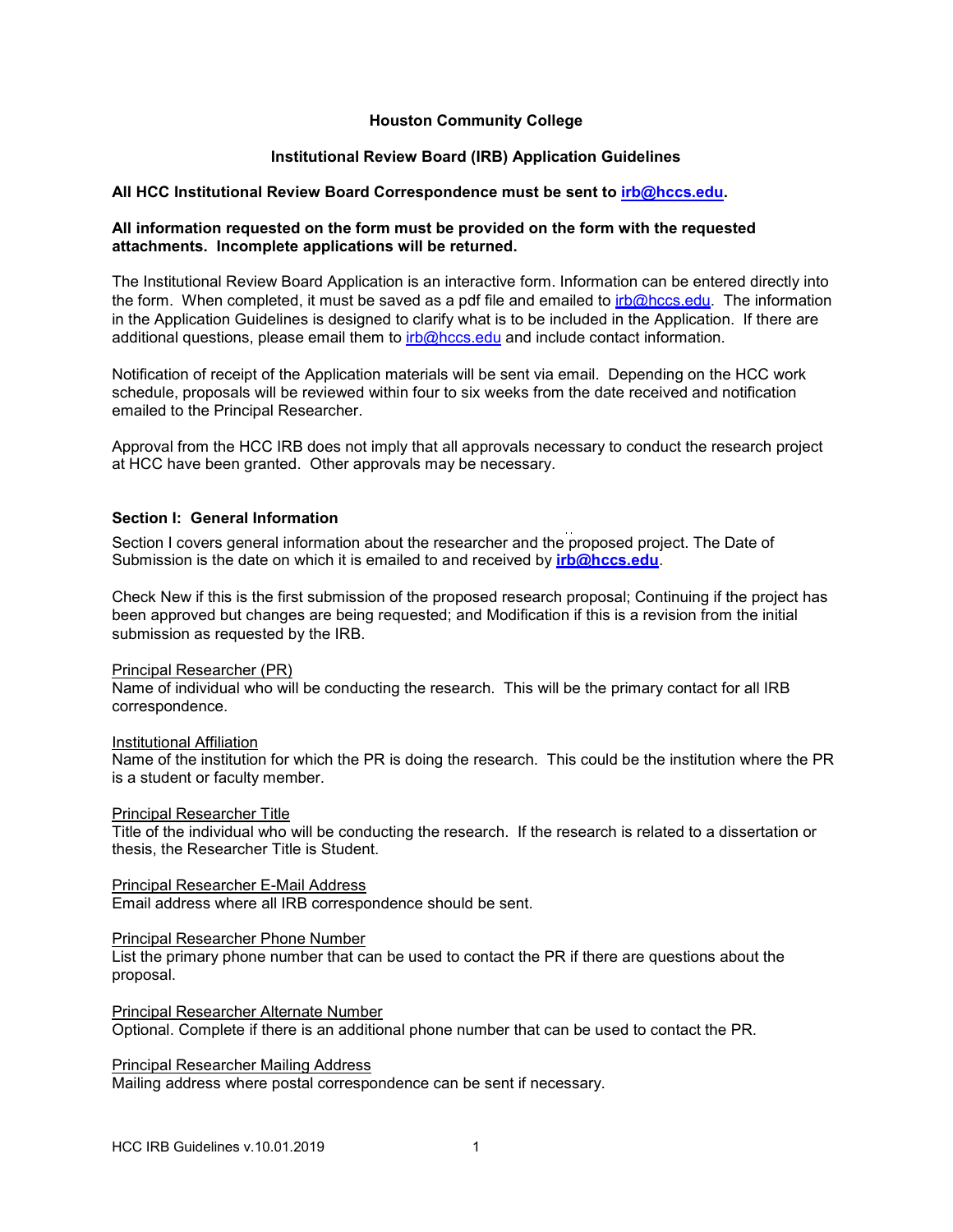# **Houston Community College**

# **Institutional Review Board (IRB) Application Guidelines**

### **All HCC Institutional Review Board Correspondence must be sent to [irb@hccs.edu.](mailto:irb@hccs.edu)**

# **All information requested on the form must be provided on the form with the requested attachments. Incomplete applications will be returned.**

The Institutional Review Board Application is an interactive form. Information can be entered directly into the form. When completed, it must be saved as a pdf file and emailed to  $irb@hccs.edu$ . The information in the Application Guidelines is designed to clarify what is to be included in the Application. If there are additional questions, please email them to  $irb@$  hccs, edu and include contact information.

Notification of receipt of the Application materials will be sent via email. Depending on the HCC work schedule, proposals will be reviewed within four to six weeks from the date received and notification emailed to the Principal Researcher.

Approval from the HCC IRB does not imply that all approvals necessary to conduct the research project at HCC have been granted. Other approvals may be necessary.

# **Section I: General Information**

Section I covers general information about the researcher and the proposed project. The Date of Submission is the date on which it is emailed to and received by **[irb@hccs.edu](mailto:irb@hccs.edu)**.

Check New if this is the first submission of the proposed research proposal; Continuing if the project has been approved but changes are being requested; and Modification if this is a revision from the initial submission as requested by the IRB.

#### Principal Researcher (PR)

Name of individual who will be conducting the research. This will be the primary contact for all IRB correspondence.

#### Institutional Affiliation

Name of the institution for which the PR is doing the research. This could be the institution where the PR is a student or faculty member.

#### Principal Researcher Title

Title of the individual who will be conducting the research. If the research is related to a dissertation or thesis, the Researcher Title is Student.

#### Principal Researcher E-Mail Address

Email address where all IRB correspondence should be sent.

#### Principal Researcher Phone Number

List the primary phone number that can be used to contact the PR if there are questions about the proposal.

#### Principal Researcher Alternate Number

Optional. Complete if there is an additional phone number that can be used to contact the PR.

Principal Researcher Mailing Address

Mailing address where postal correspondence can be sent if necessary.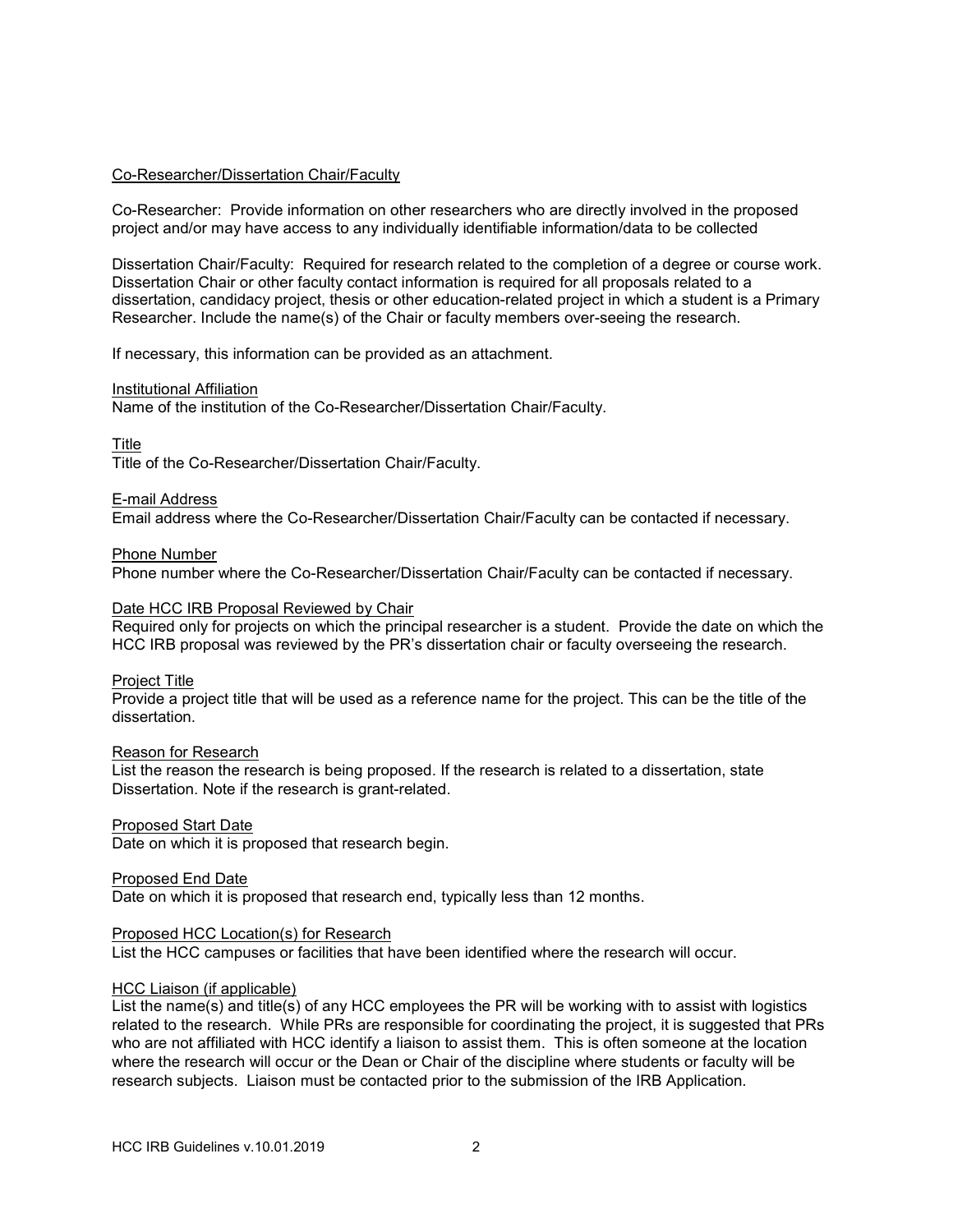### Co-Researcher/Dissertation Chair/Faculty

Co-Researcher: Provide information on other researchers who are directly involved in the proposed project and/or may have access to any individually identifiable information/data to be collected

Dissertation Chair/Faculty: Required for research related to the completion of a degree or course work. Dissertation Chair or other faculty contact information is required for all proposals related to a dissertation, candidacy project, thesis or other education-related project in which a student is a Primary Researcher. Include the name(s) of the Chair or faculty members over-seeing the research.

If necessary, this information can be provided as an attachment.

#### Institutional Affiliation

Name of the institution of the Co-Researcher/Dissertation Chair/Faculty.

### **Title**

Title of the Co-Researcher/Dissertation Chair/Faculty.

#### E-mail Address

Email address where the Co-Researcher/Dissertation Chair/Faculty can be contacted if necessary.

#### Phone Number

Phone number where the Co-Researcher/Dissertation Chair/Faculty can be contacted if necessary.

### Date HCC IRB Proposal Reviewed by Chair

Required only for projects on which the principal researcher is a student. Provide the date on which the HCC IRB proposal was reviewed by the PR's dissertation chair or faculty overseeing the research.

#### Project Title

Provide a project title that will be used as a reference name for the project. This can be the title of the dissertation.

#### Reason for Research

List the reason the research is being proposed. If the research is related to a dissertation, state Dissertation. Note if the research is grant-related.

#### Proposed Start Date

Date on which it is proposed that research begin.

#### Proposed End Date

Date on which it is proposed that research end, typically less than 12 months.

#### Proposed HCC Location(s) for Research

List the HCC campuses or facilities that have been identified where the research will occur.

#### HCC Liaison (if applicable)

List the name(s) and title(s) of any HCC employees the PR will be working with to assist with logistics related to the research. While PRs are responsible for coordinating the project, it is suggested that PRs who are not affiliated with HCC identify a liaison to assist them. This is often someone at the location where the research will occur or the Dean or Chair of the discipline where students or faculty will be research subjects. Liaison must be contacted prior to the submission of the IRB Application.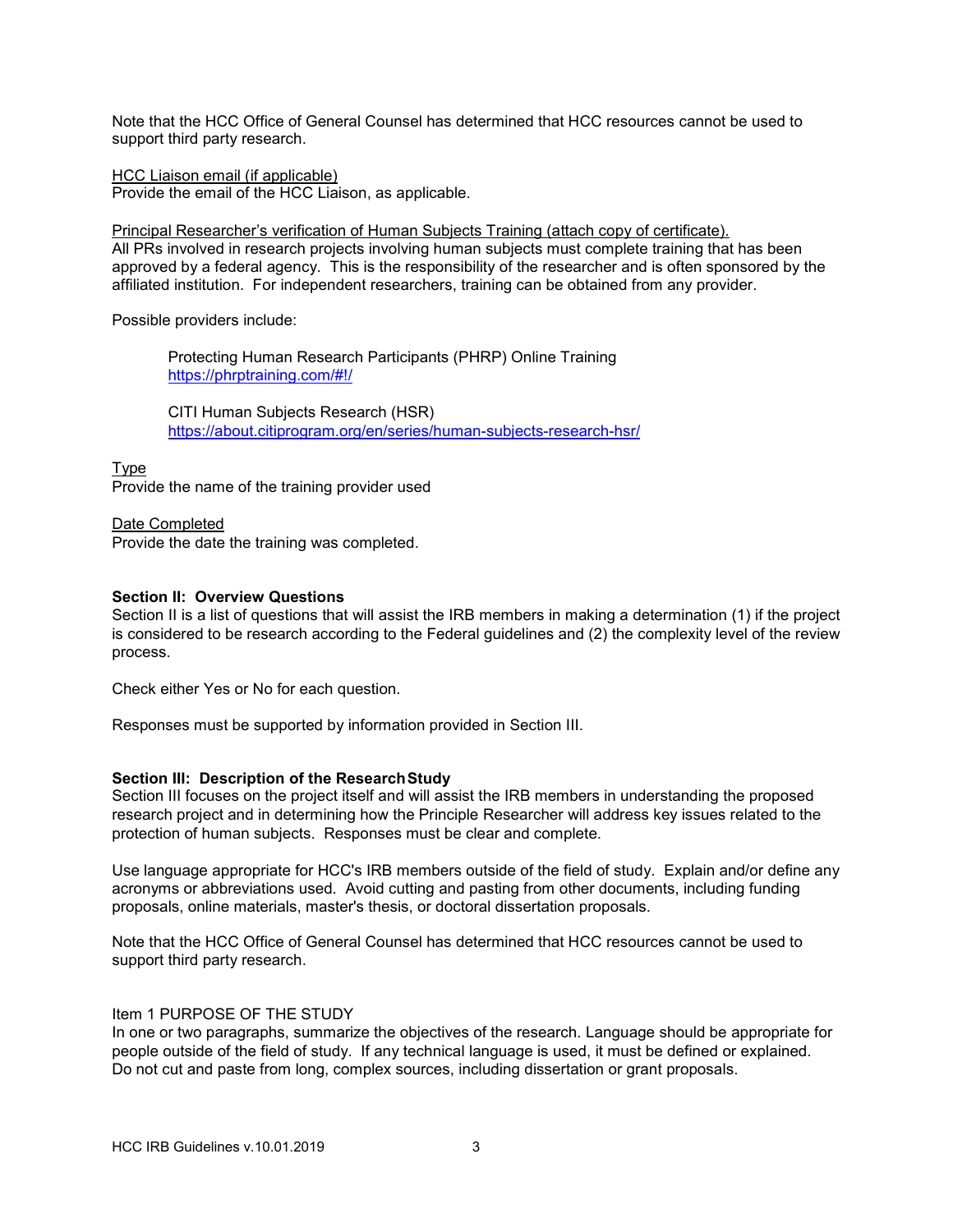Note that the HCC Office of General Counsel has determined that HCC resources cannot be used to support third party research.

HCC Liaison email (if applicable)

Provide the email of the HCC Liaison, as applicable.

Principal Researcher's verification of Human Subjects Training (attach copy of certificate). All PRs involved in research projects involving human subjects must complete training that has been approved by a federal agency. This is the responsibility of the researcher and is often sponsored by the affiliated institution. For independent researchers, training can be obtained from any provider.

Possible providers include:

Protecting Human Research Participants (PHRP) Online Training <https://phrptraining.com/#!/>

CITI Human Subjects Research (HSR) <https://about.citiprogram.org/en/series/human-subjects-research-hsr/>

Type

Provide the name of the training provider used

Date Completed Provide the date the training was completed.

# **Section II: Overview Questions**

Section II is a list of questions that will assist the IRB members in making a determination (1) if the project is considered to be research according to the Federal guidelines and (2) the complexity level of the review process.

Check either Yes or No for each question.

Responses must be supported by information provided in Section III.

# **Section III: Description of the ResearchStudy**

Section III focuses on the project itself and will assist the IRB members in understanding the proposed research project and in determining how the Principle Researcher will address key issues related to the protection of human subjects. Responses must be clear and complete.

Use language appropriate for HCC's IRB members outside of the field of study. Explain and/or define any acronyms or abbreviations used. Avoid cutting and pasting from other documents, including funding proposals, online materials, master's thesis, or doctoral dissertation proposals.

Note that the HCC Office of General Counsel has determined that HCC resources cannot be used to support third party research.

# Item 1 PURPOSE OF THE STUDY

In one or two paragraphs, summarize the objectives of the research. Language should be appropriate for people outside of the field of study. If any technical language is used, it must be defined or explained. Do not cut and paste from long, complex sources, including dissertation or grant proposals.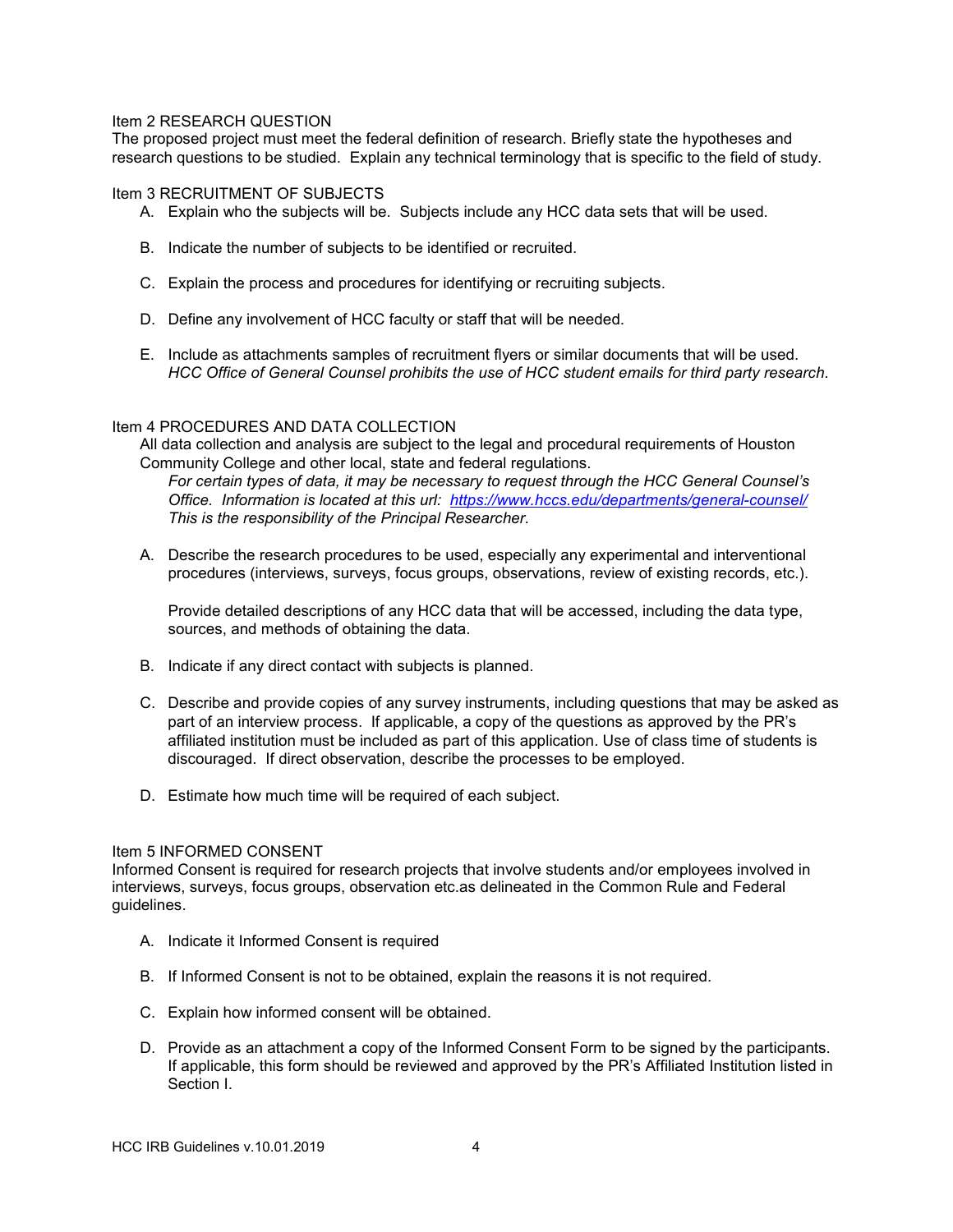# Item 2 RESEARCH QUESTION

The proposed project must meet the federal definition of research. Briefly state the hypotheses and research questions to be studied. Explain any technical terminology that is specific to the field of study.

#### Item 3 RECRUITMENT OF SUBJECTS

- A. Explain who the subjects will be. Subjects include any HCC data sets that will be used.
- B. Indicate the number of subjects to be identified or recruited.
- C. Explain the process and procedures for identifying or recruiting subjects.
- D. Define any involvement of HCC faculty or staff that will be needed.
- E. Include as attachments samples of recruitment flyers or similar documents that will be used. *HCC Office of General Counsel prohibits the use of HCC student emails for third party research*.

### Item 4 PROCEDURES AND DATA COLLECTION

All data collection and analysis are subject to the legal and procedural requirements of Houston Community College and other local, state and federal regulations.

*For certain types of data, it may be necessary to request through the HCC General Counsel's Office. Information is located at this url: <https://www.hccs.edu/departments/general-counsel/> This is the responsibility of the Principal Researcher.*

A. Describe the research procedures to be used, especially any experimental and interventional procedures (interviews, surveys, focus groups, observations, review of existing records, etc.).

Provide detailed descriptions of any HCC data that will be accessed, including the data type, sources, and methods of obtaining the data.

- B. Indicate if any direct contact with subjects is planned.
- C. Describe and provide copies of any survey instruments, including questions that may be asked as part of an interview process. If applicable, a copy of the questions as approved by the PR's affiliated institution must be included as part of this application. Use of class time of students is discouraged. If direct observation, describe the processes to be employed.
- D. Estimate how much time will be required of each subject.

#### Item 5 INFORMED CONSENT

Informed Consent is required for research projects that involve students and/or employees involved in interviews, surveys, focus groups, observation etc.as delineated in the Common Rule and Federal guidelines.

- A. Indicate it Informed Consent is required
- B. If Informed Consent is not to be obtained, explain the reasons it is not required.
- C. Explain how informed consent will be obtained.
- D. Provide as an attachment a copy of the Informed Consent Form to be signed by the participants. If applicable, this form should be reviewed and approved by the PR's Affiliated Institution listed in Section I.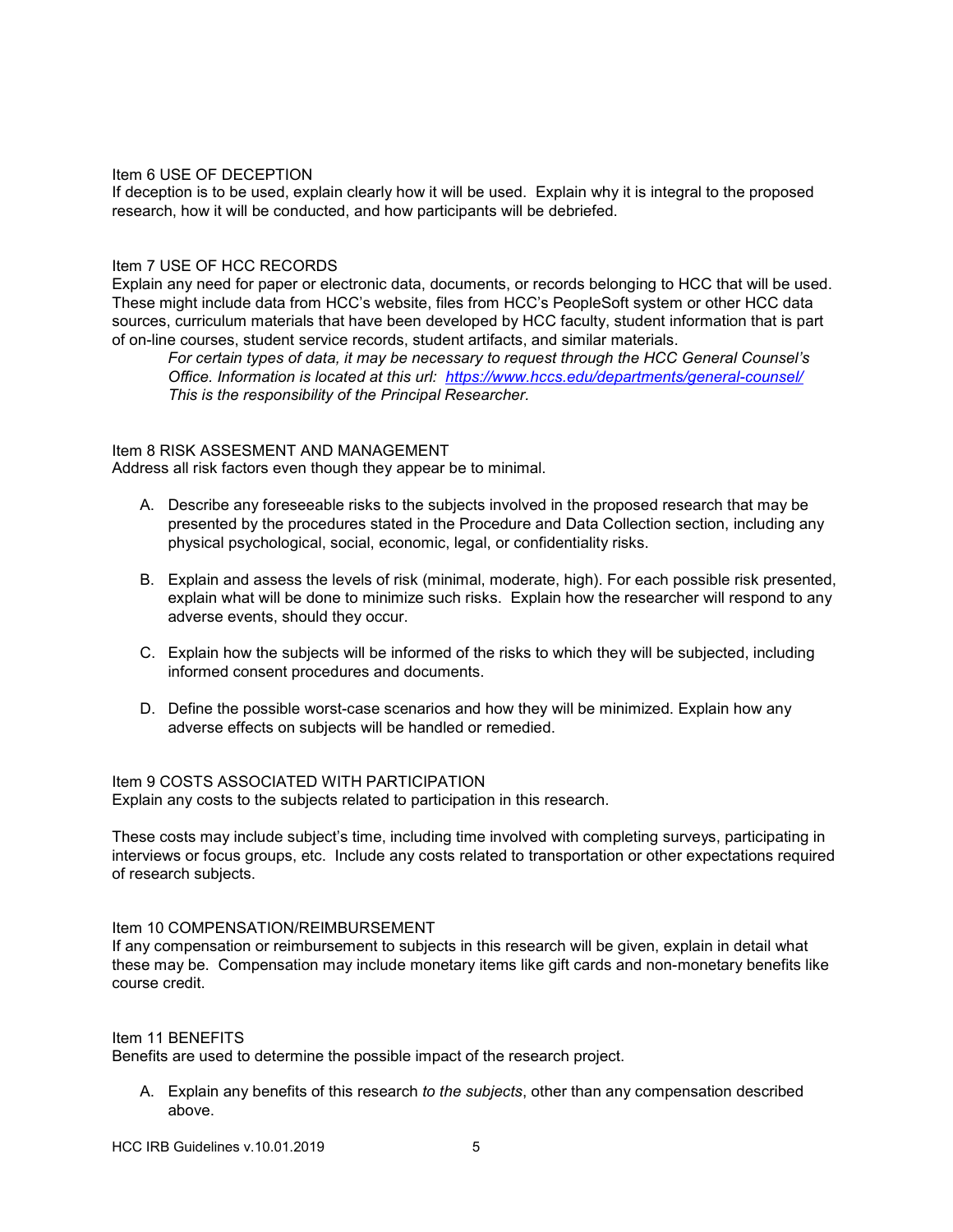### Item 6 USE OF DECEPTION

If deception is to be used, explain clearly how it will be used. Explain why it is integral to the proposed research, how it will be conducted, and how participants will be debriefed.

### Item 7 USE OF HCC RECORDS

Explain any need for paper or electronic data, documents, or records belonging to HCC that will be used. These might include data from HCC's website, files from HCC's PeopleSoft system or other HCC data sources, curriculum materials that have been developed by HCC faculty, student information that is part of on-line courses, student service records, student artifacts, and similar materials.

*For certain types of data, it may be necessary to request through the HCC General Counsel's Office. Information is located at this url: <https://www.hccs.edu/departments/general-counsel/> This is the responsibility of the Principal Researcher.*

#### Item 8 RISK ASSESMENT AND MANAGEMENT

Address all risk factors even though they appear be to minimal.

- A. Describe any foreseeable risks to the subjects involved in the proposed research that may be presented by the procedures stated in the Procedure and Data Collection section, including any physical psychological, social, economic, legal, or confidentiality risks.
- B. Explain and assess the levels of risk (minimal, moderate, high). For each possible risk presented, explain what will be done to minimize such risks. Explain how the researcher will respond to any adverse events, should they occur.
- C. Explain how the subjects will be informed of the risks to which they will be subjected, including informed consent procedures and documents.
- D. Define the possible worst-case scenarios and how they will be minimized. Explain how any adverse effects on subjects will be handled or remedied.

Item 9 COSTS ASSOCIATED WITH PARTICIPATION

Explain any costs to the subjects related to participation in this research.

These costs may include subject's time, including time involved with completing surveys, participating in interviews or focus groups, etc. Include any costs related to transportation or other expectations required of research subjects.

### Item 10 COMPENSATION/REIMBURSEMENT

If any compensation or reimbursement to subjects in this research will be given, explain in detail what these may be. Compensation may include monetary items like gift cards and non-monetary benefits like course credit.

#### Item 11 BENEFITS

Benefits are used to determine the possible impact of the research project.

A. Explain any benefits of this research *to the subjects*, other than any compensation described above.

HCC IRB Guidelines v.10.01.2019 5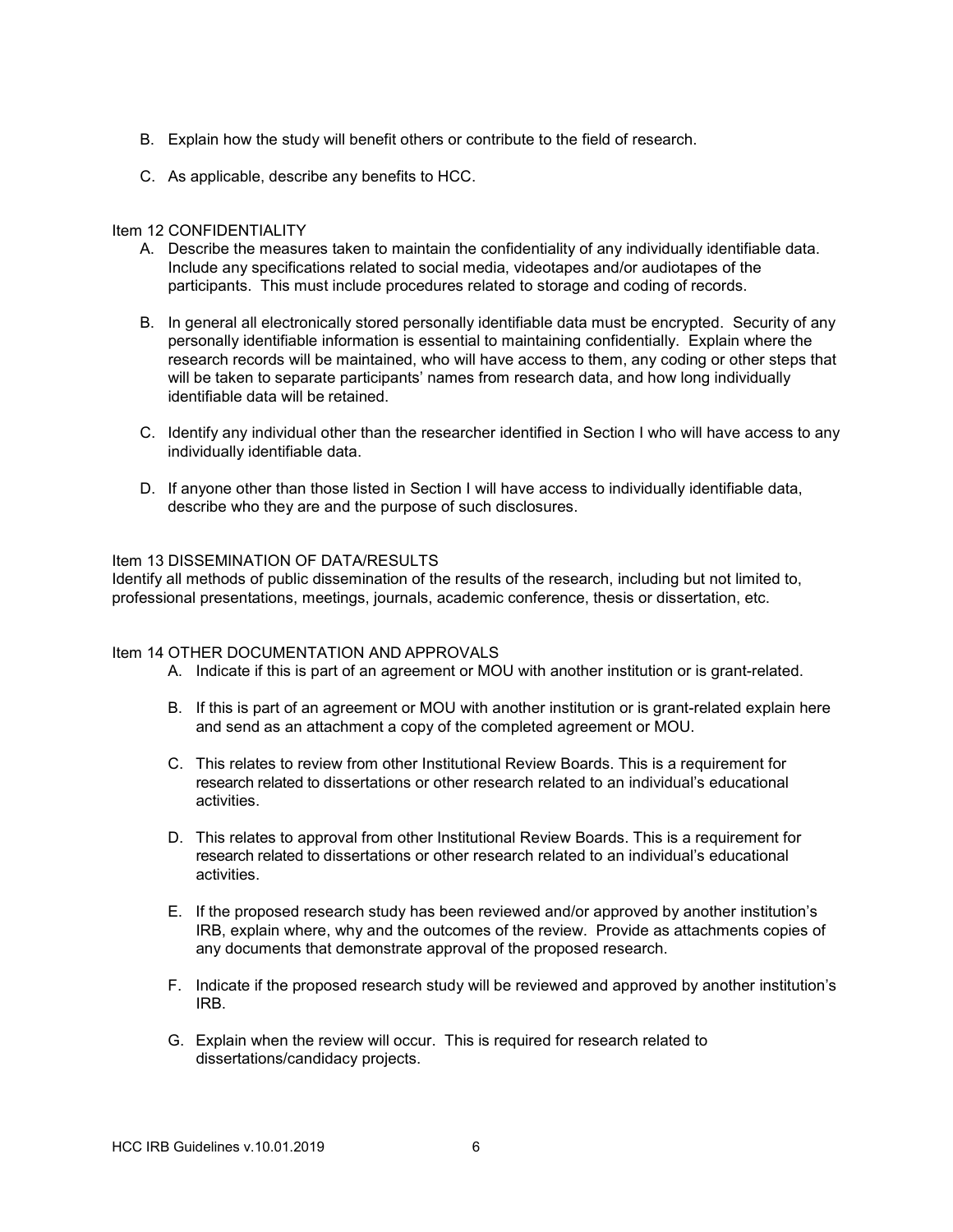- B. Explain how the study will benefit others or contribute to the field of research.
- C. As applicable, describe any benefits to HCC.

# Item 12 CONFIDENTIALITY

- A. Describe the measures taken to maintain the confidentiality of any individually identifiable data. Include any specifications related to social media, videotapes and/or audiotapes of the participants. This must include procedures related to storage and coding of records.
- B. In general all electronically stored personally identifiable data must be encrypted. Security of any personally identifiable information is essential to maintaining confidentially. Explain where the research records will be maintained, who will have access to them, any coding or other steps that will be taken to separate participants' names from research data, and how long individually identifiable data will be retained.
- C. Identify any individual other than the researcher identified in Section I who will have access to any individually identifiable data.
- D. If anyone other than those listed in Section I will have access to individually identifiable data, describe who they are and the purpose of such disclosures.

# Item 13 DISSEMINATION OF DATA/RESULTS

Identify all methods of public dissemination of the results of the research, including but not limited to, professional presentations, meetings, journals, academic conference, thesis or dissertation, etc.

# Item 14 OTHER DOCUMENTATION AND APPROVALS

- A. Indicate if this is part of an agreement or MOU with another institution or is grant-related.
- B. If this is part of an agreement or MOU with another institution or is grant-related explain here and send as an attachment a copy of the completed agreement or MOU.
- C. This relates to review from other Institutional Review Boards. This is a requirement for research related to dissertations or other research related to an individual's educational activities.
- D. This relates to approval from other Institutional Review Boards. This is a requirement for research related to dissertations or other research related to an individual's educational activities.
- E. If the proposed research study has been reviewed and/or approved by another institution's IRB, explain where, why and the outcomes of the review. Provide as attachments copies of any documents that demonstrate approval of the proposed research.
- F. Indicate if the proposed research study will be reviewed and approved by another institution's IRB.
- G. Explain when the review will occur. This is required for research related to dissertations/candidacy projects.